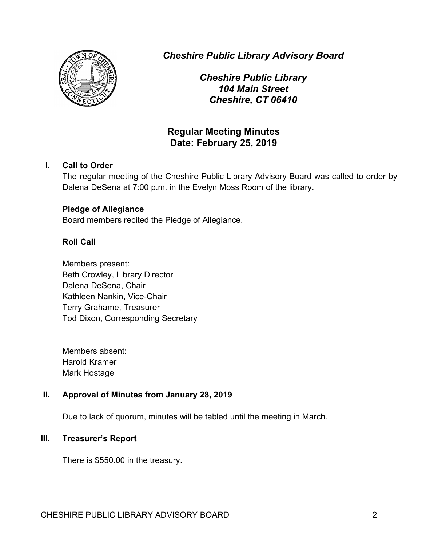

*Cheshire Public Library Advisory Board*

*Cheshire Public Library 104 Main Street Cheshire, CT 06410*

# **Regular Meeting Minutes Date: February 25, 2019**

## **I. Call to Order**

The regular meeting of the Cheshire Public Library Advisory Board was called to order by Dalena DeSena at 7:00 p.m. in the Evelyn Moss Room of the library.

## **Pledge of Allegiance**

Board members recited the Pledge of Allegiance.

## **Roll Call**

Members present: Beth Crowley, Library Director Dalena DeSena, Chair Kathleen Nankin, Vice-Chair Terry Grahame, Treasurer Tod Dixon, Corresponding Secretary

Members absent: Harold Kramer Mark Hostage

## **II. Approval of Minutes from January 28, 2019**

Due to lack of quorum, minutes will be tabled until the meeting in March.

## **III. Treasurer's Report**

There is \$550.00 in the treasury.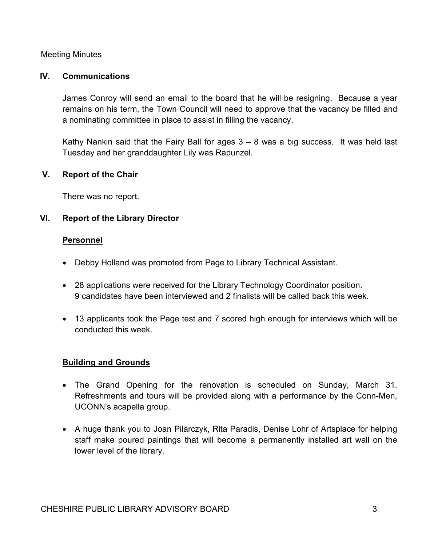Meeting Minutes

#### **IV. Communications**

James Conroy will send an email to the board that he will be resigning. Because a year remains on his term, the Town Council will need to approve that the vacancy be filled and a nominating committee in place to assist in filling the vacancy.

Kathy Nankin said that the Fairy Ball for ages  $3 - 8$  was a big success. It was held last Tuesday and her granddaughter Lily was Rapunzel.

## **V. Report of the Chair**

There was no report.

## **VI. Report of the Library Director**

#### **Personnel**

- Debby Holland was promoted from Page to Library Technical Assistant.
- 28 applications were received for the Library Technology Coordinator position. 9 candidates have been interviewed and 2 finalists will be called back this week.
- 13 applicants took the Page test and 7 scored high enough for interviews which will be conducted this week.

## **Building and Grounds**

- The Grand Opening for the renovation is scheduled on Sunday, March 31. Refreshments and tours will be provided along with a performance by the Conn-Men, UCONN's acapella group.
- A huge thank you to Joan Pilarczyk, Rita Paradis, Denise Lohr of Artsplace for helping staff make poured paintings that will become a permanently installed art wall on the lower level of the library.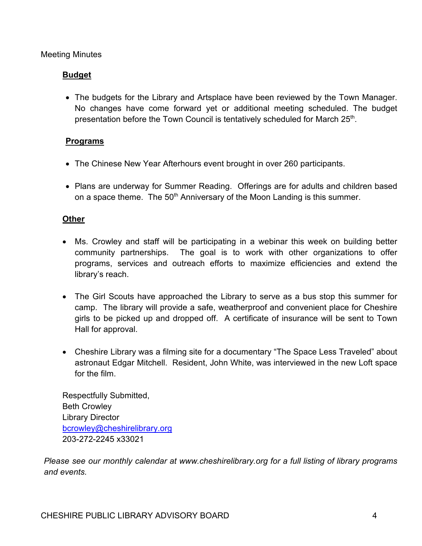#### Meeting Minutes

## **Budget**

• The budgets for the Library and Artsplace have been reviewed by the Town Manager. No changes have come forward yet or additional meeting scheduled. The budget presentation before the Town Council is tentatively scheduled for March 25<sup>th</sup>.

## **Programs**

- The Chinese New Year Afterhours event brought in over 260 participants.
- Plans are underway for Summer Reading. Offerings are for adults and children based on a space theme. The  $50<sup>th</sup>$  Anniversary of the Moon Landing is this summer.

## **Other**

- Ms. Crowley and staff will be participating in a webinar this week on building better community partnerships. The goal is to work with other organizations to offer programs, services and outreach efforts to maximize efficiencies and extend the library's reach.
- The Girl Scouts have approached the Library to serve as a bus stop this summer for camp. The library will provide a safe, weatherproof and convenient place for Cheshire girls to be picked up and dropped off. A certificate of insurance will be sent to Town Hall for approval.
- Cheshire Library was a filming site for a documentary "The Space Less Traveled" about astronaut Edgar Mitchell. Resident, John White, was interviewed in the new Loft space for the film.

Respectfully Submitted, Beth Crowley Library Director bcrowley@cheshirelibrary.org 203-272-2245 x33021

*Please see our monthly calendar at www.cheshirelibrary.org for a full listing of library programs and events.*